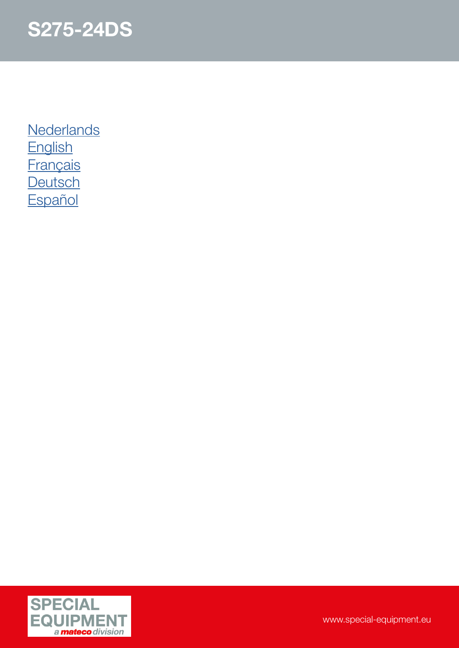

**[Nederlands](#page-1-0)** [English](#page-2-0) **[Français](#page-3-0) [Deutsch](#page-4-0) [Español](#page-5-0)** 

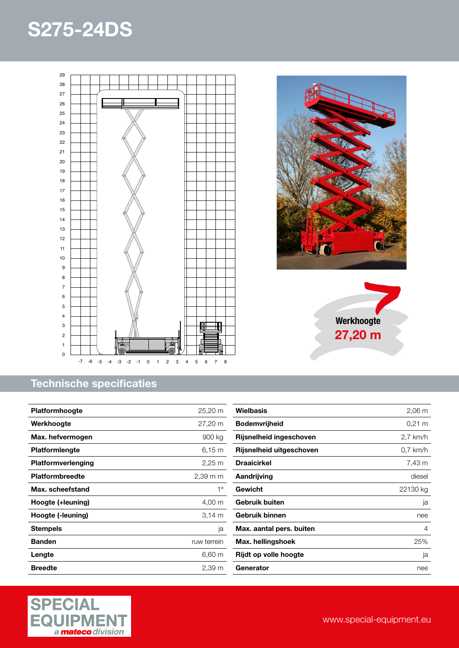<span id="page-1-0"></span>



| <b>Platformhoogte</b>  | 25,20 m              |
|------------------------|----------------------|
| Werkhoogte             | 27,20 m              |
| Max. hefvermogen       | 900 kg               |
| <b>Platformlengte</b>  | $6,15 \; m$          |
| Platformverlenging     | $2,25 \; \mathrm{m}$ |
| <b>Platformbreedte</b> | 2,39 m m             |
| Max. scheefstand       | $1^{\circ}$          |
| Hoogte (+leuning)      | $4,00 \; \mathrm{m}$ |
| Hoogte (-leuning)      | 3.14 m               |
| <b>Stempels</b>        | ja                   |
| <b>Banden</b>          | ruw terrein          |
| Lengte                 | 6,60 m               |
| <b>Breedte</b>         | 2,39 m               |







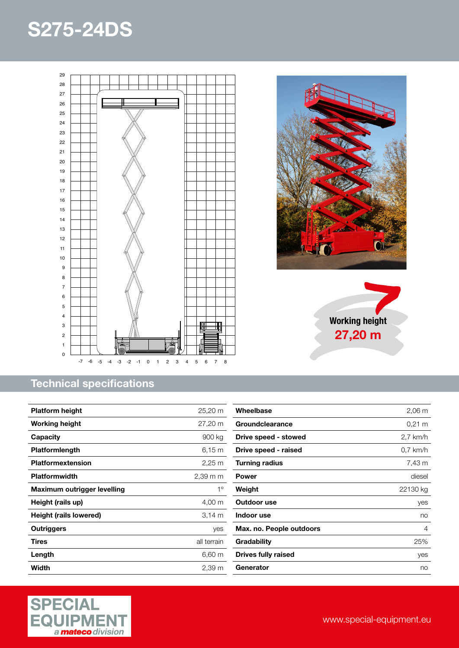<span id="page-2-0"></span>

### Technical specifications

| <b>Platform height</b>      | 25,20 m              |
|-----------------------------|----------------------|
| <b>Working height</b>       | 27,20 m              |
| Capacity                    | 900 kg               |
| <b>Platformlength</b>       | 6.15 m               |
| <b>Platformextension</b>    | $2,25 \; \mathrm{m}$ |
| <b>Platformwidth</b>        | $2,39$ m m           |
| Maximum outrigger levelling | $1^{\circ}$          |
| Height (rails up)           | 4,00 m               |
| Height (rails lowered)      | 3.14 m               |
| Outriggers                  | yes                  |
| Tires                       | all terrain          |
| Length                      | 6,60 m               |
| Width                       | 2,39 m               |







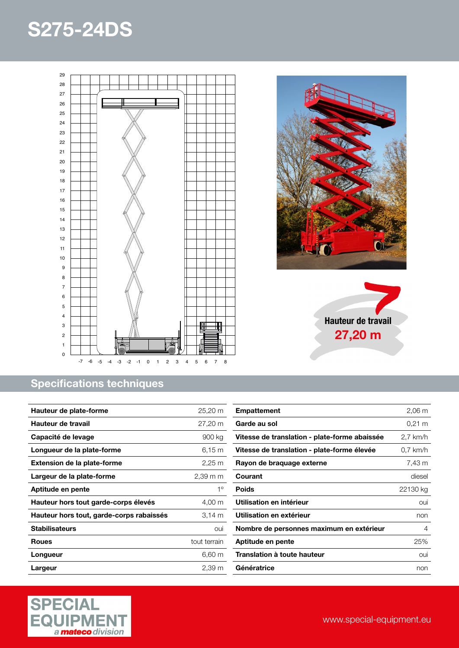<span id="page-3-0"></span>



| Hauteur de plate-forme                   | 25,20 m              |
|------------------------------------------|----------------------|
| Hauteur de travail                       | 27,20 m              |
| Capacité de levage                       | 900 kg               |
| Longueur de la plate-forme               | 6.15 m               |
| <b>Extension de la plate-forme</b>       | $2,25 \; \mathrm{m}$ |
| Largeur de la plate-forme                | $2.39 \text{ m}$ m   |
| Aptitude en pente                        | $1^{\circ}$          |
| Hauteur hors tout garde-corps élevés     | 4,00 m               |
| Hauteur hors tout, garde-corps rabaissés | 3.14 m               |
| <b>Stabilisateurs</b>                    | oui                  |
| <b>Roues</b>                             | tout terrain         |
| Longueur                                 | 6,60 m               |
| Largeur                                  | $2,39 \, \text{m}$   |



Hauteur de travail 27,20 m

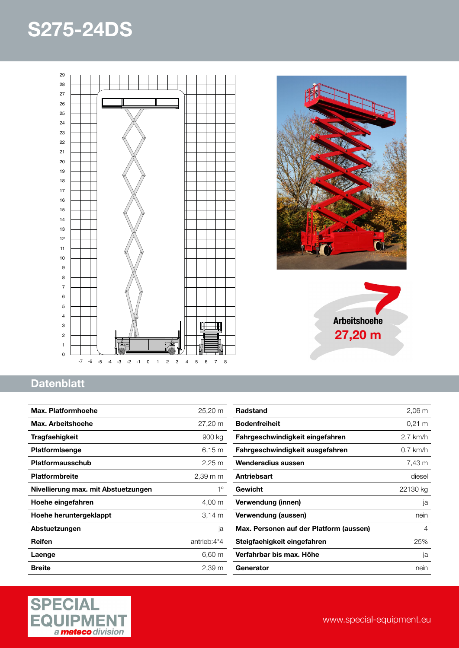<span id="page-4-0"></span>



Arbeitshoehe 27,20 m



| Max. Platformhoehe                  | 25,20 m              |
|-------------------------------------|----------------------|
| Max. Arbeitshoehe                   | 27,20 m              |
| Tragfaehigkeit                      | 900 kg               |
| Platformlaenge                      | $6,15 \; m$          |
| Platformausschub                    | $2,25 \; \mathrm{m}$ |
| <b>Platformbreite</b>               | $2.39 \text{ m}$ m   |
| Nivellierung max. mit Abstuetzungen | $1^{\circ}$          |
| Hoehe eingefahren                   | 4,00 m               |
| Hoehe heruntergeklappt              | 3.14 m               |
| Abstuetzungen                       | ja                   |
| Reifen                              | antrieb:4*4          |
| Laenge                              | $6,60 \; m$          |
| <b>Breite</b>                       | 2,39 m               |

| <b>Radstand</b>                         | $2,06 \, \text{m}$ |
|-----------------------------------------|--------------------|
| <b>Bodenfreiheit</b>                    | $0.21 \text{ m}$   |
| Fahrgeschwindigkeit eingefahren         | 2,7 km/h           |
| Fahrgeschwindigkeit ausgefahren         | $0.7$ km/h         |
| Wenderadius aussen                      | 7,43 m             |
| Antriebsart                             | diesel             |
| Gewicht                                 | 22130 kg           |
| Verwendung (innen)                      | ja                 |
| Verwendung (aussen)                     | nein               |
| Max. Personen auf der Platform (aussen) | 4                  |
| Steigfaehigkeit eingefahren             | 25%                |
| Verfahrbar bis max. Höhe                | ja                 |
| Generator                               | nein               |